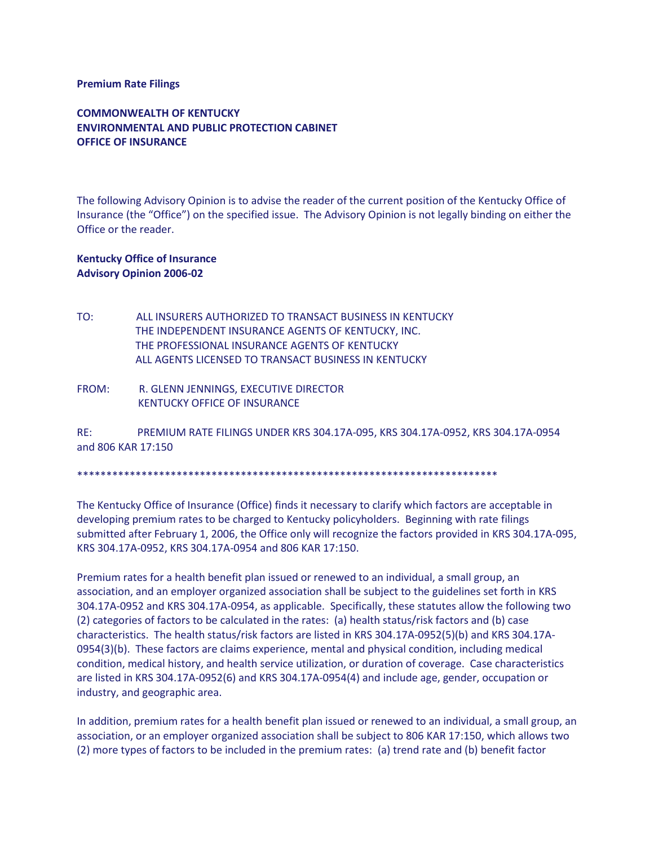## **Premium Rate Filings**

**COMMONWEALTH OF KENTUCKY ENVIRONMENTAL AND PUBLIC PROTECTION CABINET OFFICE OF INSURANCE**

The following Advisory Opinion is to advise the reader of the current position of the Kentucky Office of Insurance (the "Office") on the specified issue. The Advisory Opinion is not legally binding on either the Office or the reader.

## **Kentucky Office of Insurance Advisory Opinion 2006-02**

- TO: ALL INSURERS AUTHORIZED TO TRANSACT BUSINESS IN KENTUCKY THE INDEPENDENT INSURANCE AGENTS OF KENTUCKY, INC. THE PROFESSIONAL INSURANCE AGENTS OF KENTUCKY ALL AGENTS LICENSED TO TRANSACT BUSINESS IN KENTUCKY
- FROM: R. GLENN JENNINGS, EXECUTIVE DIRECTOR KENTUCKY OFFICE OF INSURANCE

RE: PREMIUM RATE FILINGS UNDER KRS 304.17A-095, KRS 304.17A-0952, KRS 304.17A-0954 and 806 KAR 17:150

\*\*\*\*\*\*\*\*\*\*\*\*\*\*\*\*\*\*\*\*\*\*\*\*\*\*\*\*\*\*\*\*\*\*\*\*\*\*\*\*\*\*\*\*\*\*\*\*\*\*\*\*\*\*\*\*\*\*\*\*\*\*\*\*\*\*\*\*\*\*\*\*

The Kentucky Office of Insurance (Office) finds it necessary to clarify which factors are acceptable in developing premium rates to be charged to Kentucky policyholders. Beginning with rate filings submitted after February 1, 2006, the Office only will recognize the factors provided in KRS 304.17A-095, KRS 304.17A-0952, KRS 304.17A-0954 and 806 KAR 17:150.

Premium rates for a health benefit plan issued or renewed to an individual, a small group, an association, and an employer organized association shall be subject to the guidelines set forth in KRS 304.17A-0952 and KRS 304.17A-0954, as applicable. Specifically, these statutes allow the following two (2) categories of factors to be calculated in the rates: (a) health status/risk factors and (b) case characteristics. The health status/risk factors are listed in KRS 304.17A-0952(5)(b) and KRS 304.17A-0954(3)(b). These factors are claims experience, mental and physical condition, including medical condition, medical history, and health service utilization, or duration of coverage. Case characteristics are listed in KRS 304.17A-0952(6) and KRS 304.17A-0954(4) and include age, gender, occupation or industry, and geographic area.

In addition, premium rates for a health benefit plan issued or renewed to an individual, a small group, an association, or an employer organized association shall be subject to 806 KAR 17:150, which allows two (2) more types of factors to be included in the premium rates: (a) trend rate and (b) benefit factor